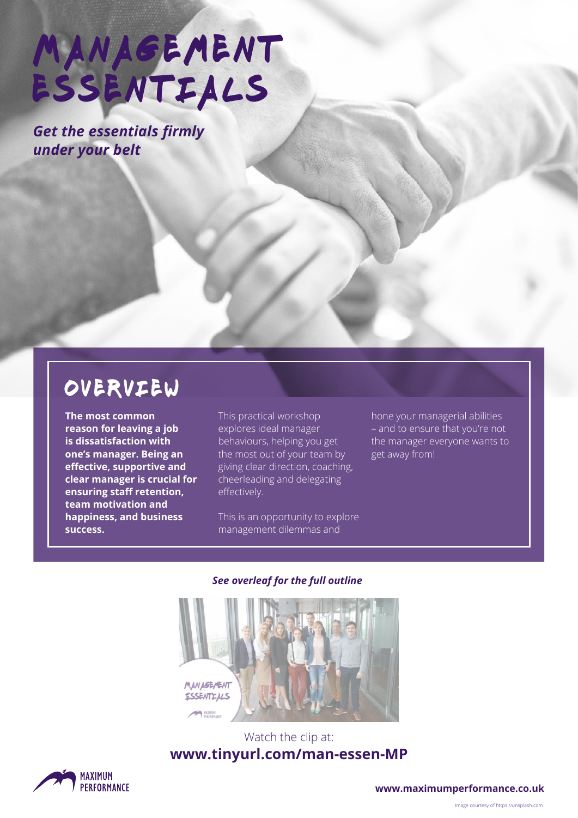# MANAGEMENT ESSENTIALS

*Get the essentials firmly under your belt*

### overview

**The most common reason for leaving a job is dissatisfaction with one's manager. Being an effective, supportive and clear manager is crucial for ensuring staff retention, team motivation and happiness, and business success.**

This practical workshop explores ideal manager behaviours, helping you get the most out of your team by giving clear direction, coaching, cheerleading and delegating effectively.

This is an opportunity to explore management dilemmas and

hone your managerial abilities – and to ensure that you're not the manager everyone wants to get away from!

#### *See overleaf for the full outline*



#### Watch the clip at: **[www.tinyurl.com/man-essen-MP](http://www.tinyurl.com/man-essen-MP)**



**[www.maximumperformance.co.uk](https://www.maximumperformance.co.uk)**